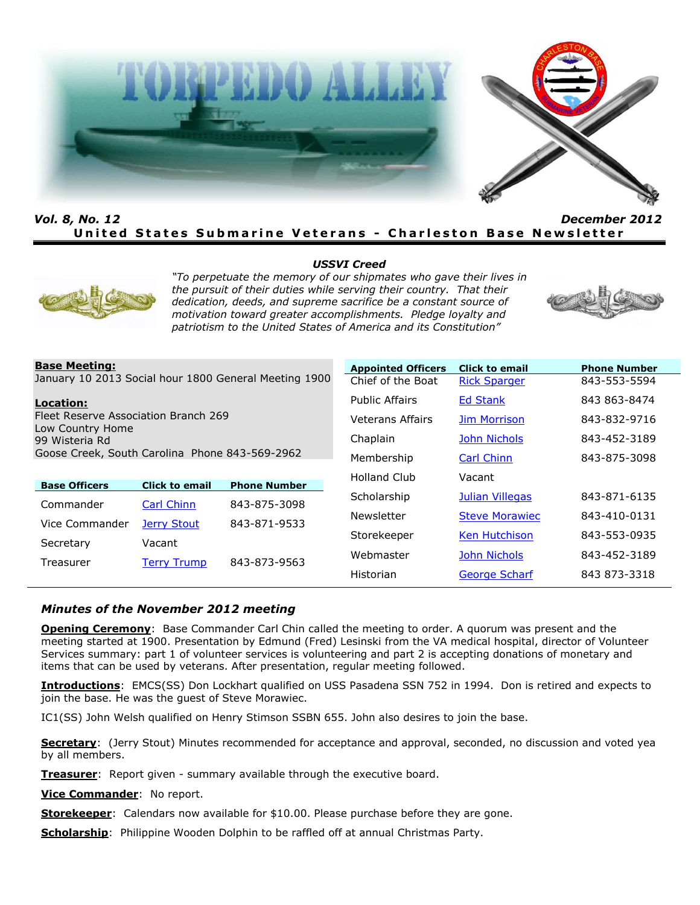



#### *USSVI Creed*



*"To perpetuate the memory of our shipmates who gave their lives in the pursuit of their duties while serving their country. That their dedication, deeds, and supreme sacrifice be a constant source of motivation toward greater accomplishments. Pledge loyalty and patriotism to the United States of America and its Constitution"*



| <b>Base Meeting:</b>                                  |                       |                     | <b>Appointed Officers</b> | <b>Click to email</b>  | <b>Phone Number</b> |
|-------------------------------------------------------|-----------------------|---------------------|---------------------------|------------------------|---------------------|
| January 10 2013 Social hour 1800 General Meeting 1900 |                       |                     | Chief of the Boat         | <b>Rick Sparger</b>    | 843-553-5594        |
| Location:                                             |                       |                     | <b>Public Affairs</b>     | <b>Ed Stank</b>        | 843 863-8474        |
| Fleet Reserve Association Branch 269                  |                       |                     | <b>Veterans Affairs</b>   | <b>Jim Morrison</b>    | 843-832-9716        |
| Low Country Home<br>99 Wisteria Rd                    |                       |                     | Chaplain                  | <b>John Nichols</b>    | 843-452-3189        |
| Goose Creek, South Carolina Phone 843-569-2962        |                       |                     | Membership                | <b>Carl Chinn</b>      | 843-875-3098        |
|                                                       |                       |                     | <b>Holland Club</b>       | Vacant                 |                     |
| <b>Base Officers</b>                                  | <b>Click to email</b> | <b>Phone Number</b> | Scholarship               | <b>Julian Villegas</b> | 843-871-6135        |
| Commander                                             | Carl Chinn            | 843-875-3098        | Newsletter                | <b>Steve Morawiec</b>  | 843-410-0131        |
| Vice Commander                                        | <b>Jerry Stout</b>    | 843-871-9533        |                           |                        | 843-553-0935        |
| Secretary                                             | Vacant                |                     | Storekeeper               | Ken Hutchison          |                     |
| <b>Terry Trump</b><br>Treasurer                       |                       | 843-873-9563        | Webmaster                 | <b>John Nichols</b>    | 843-452-3189        |
|                                                       |                       |                     | <b>Historian</b>          | George Scharf          | 843 873-3318        |

#### *Minutes of the November 2012 meeting*

**Opening Ceremony**: Base Commander Carl Chin called the meeting to order. A quorum was present and the meeting started at 1900. Presentation by Edmund (Fred) Lesinski from the VA medical hospital, director of Volunteer Services summary: part 1 of volunteer services is volunteering and part 2 is accepting donations of monetary and items that can be used by veterans. After presentation, regular meeting followed.

**Introductions**: EMCS(SS) Don Lockhart qualified on USS Pasadena SSN 752 in 1994. Don is retired and expects to join the base. He was the guest of Steve Morawiec.

IC1(SS) John Welsh qualified on Henry Stimson SSBN 655. John also desires to join the base.

**Secretary**: (Jerry Stout) Minutes recommended for acceptance and approval, seconded, no discussion and voted yea by all members.

**Treasurer**: Report given - summary available through the executive board.

**Vice Commander**: No report.

**Storekeeper**: Calendars now available for \$10.00. Please purchase before they are gone.

**Scholarship**: Philippine Wooden Dolphin to be raffled off at annual Christmas Party.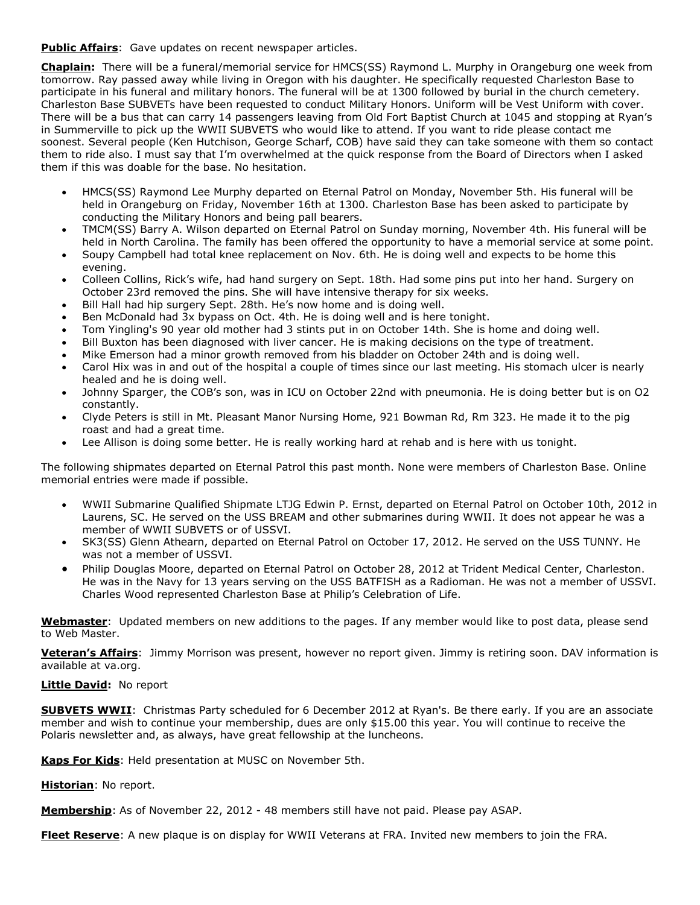#### **Public Affairs**: Gave updates on recent newspaper articles.

**Chaplain:** There will be a funeral/memorial service for HMCS(SS) Raymond L. Murphy in Orangeburg one week from tomorrow. Ray passed away while living in Oregon with his daughter. He specifically requested Charleston Base to participate in his funeral and military honors. The funeral will be at 1300 followed by burial in the church cemetery. Charleston Base SUBVETs have been requested to conduct Military Honors. Uniform will be Vest Uniform with cover. There will be a bus that can carry 14 passengers leaving from Old Fort Baptist Church at 1045 and stopping at Ryan's in Summerville to pick up the WWII SUBVETS who would like to attend. If you want to ride please contact me soonest. Several people (Ken Hutchison, George Scharf, COB) have said they can take someone with them so contact them to ride also. I must say that I'm overwhelmed at the quick response from the Board of Directors when I asked them if this was doable for the base. No hesitation.

- HMCS(SS) Raymond Lee Murphy departed on Eternal Patrol on Monday, November 5th. His funeral will be held in Orangeburg on Friday, November 16th at 1300. Charleston Base has been asked to participate by conducting the Military Honors and being pall bearers.
- TMCM(SS) Barry A. Wilson departed on Eternal Patrol on Sunday morning, November 4th. His funeral will be held in North Carolina. The family has been offered the opportunity to have a memorial service at some point.
- Soupy Campbell had total knee replacement on Nov. 6th. He is doing well and expects to be home this evening.
- Colleen Collins, Rick's wife, had hand surgery on Sept. 18th. Had some pins put into her hand. Surgery on October 23rd removed the pins. She will have intensive therapy for six weeks.
- Bill Hall had hip surgery Sept. 28th. He's now home and is doing well.
- Ben McDonald had 3x bypass on Oct. 4th. He is doing well and is here tonight.
- Tom Yingling's 90 year old mother had 3 stints put in on October 14th. She is home and doing well.
- Bill Buxton has been diagnosed with liver cancer. He is making decisions on the type of treatment.
- Mike Emerson had a minor growth removed from his bladder on October 24th and is doing well.
- Carol Hix was in and out of the hospital a couple of times since our last meeting. His stomach ulcer is nearly healed and he is doing well.
- Johnny Sparger, the COB's son, was in ICU on October 22nd with pneumonia. He is doing better but is on O2 constantly.
- Clyde Peters is still in Mt. Pleasant Manor Nursing Home, 921 Bowman Rd, Rm 323. He made it to the pig roast and had a great time.
- Lee Allison is doing some better. He is really working hard at rehab and is here with us tonight.

The following shipmates departed on Eternal Patrol this past month. None were members of Charleston Base. Online memorial entries were made if possible.

- WWII Submarine Qualified Shipmate LTJG Edwin P. Ernst, departed on Eternal Patrol on October 10th, 2012 in Laurens, SC. He served on the USS BREAM and other submarines during WWII. It does not appear he was a member of WWII SUBVETS or of USSVI.
- SK3(SS) Glenn Athearn, departed on Eternal Patrol on October 17, 2012. He served on the USS TUNNY. He was not a member of USSVI.
- Philip Douglas Moore, departed on Eternal Patrol on October 28, 2012 at Trident Medical Center, Charleston. He was in the Navy for 13 years serving on the USS BATFISH as a Radioman. He was not a member of USSVI. Charles Wood represented Charleston Base at Philip's Celebration of Life.

**Webmaster**: Updated members on new additions to the pages. If any member would like to post data, please send to Web Master.

**Veteran's Affairs**: Jimmy Morrison was present, however no report given. Jimmy is retiring soon. DAV information is available at va.org.

#### **Little David:** No report

**SUBVETS WWII**: Christmas Party scheduled for 6 December 2012 at Ryan's. Be there early. If you are an associate member and wish to continue your membership, dues are only \$15.00 this year. You will continue to receive the Polaris newsletter and, as always, have great fellowship at the luncheons.

**Kaps For Kids**: Held presentation at MUSC on November 5th.

#### **Historian**: No report.

**Membership**: As of November 22, 2012 - 48 members still have not paid. Please pay ASAP.

**Fleet Reserve**: A new plaque is on display for WWII Veterans at FRA. Invited new members to join the FRA.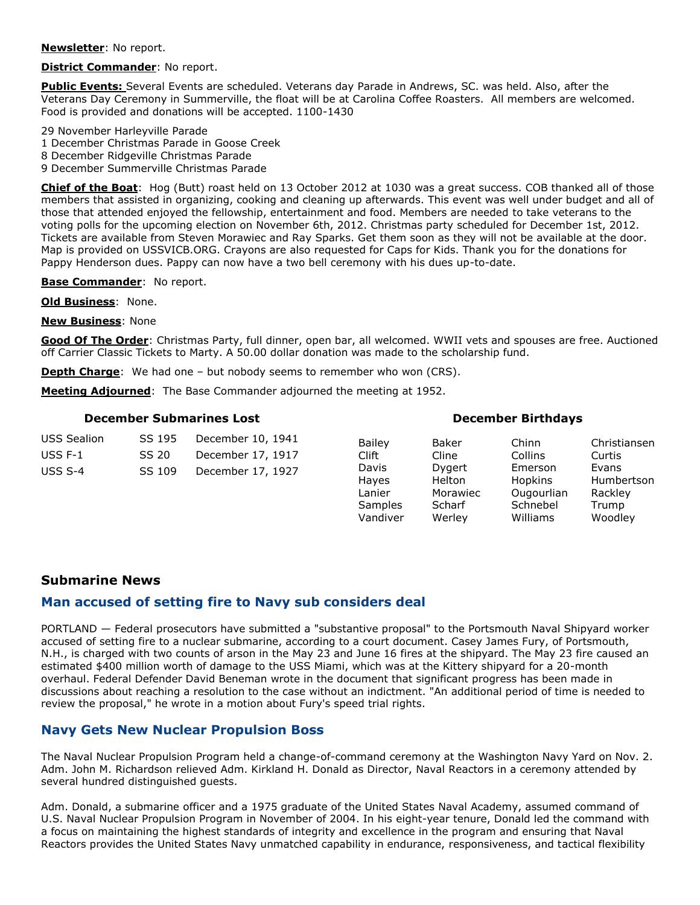#### **Newsletter**: No report.

#### **District Commander: No report.**

**Public Events:** Several Events are scheduled. Veterans day Parade in Andrews, SC. was held. Also, after the Veterans Day Ceremony in Summerville, the float will be at Carolina Coffee Roasters. All members are welcomed. Food is provided and donations will be accepted. 1100-1430

29 November Harleyville Parade

- 1 December Christmas Parade in Goose Creek
- 8 December Ridgeville Christmas Parade
- 9 December Summerville Christmas Parade

**Chief of the Boat**: Hog (Butt) roast held on 13 October 2012 at 1030 was a great success. COB thanked all of those members that assisted in organizing, cooking and cleaning up afterwards. This event was well under budget and all of those that attended enjoyed the fellowship, entertainment and food. Members are needed to take veterans to the voting polls for the upcoming election on November 6th, 2012. Christmas party scheduled for December 1st, 2012. Tickets are available from Steven Morawiec and Ray Sparks. Get them soon as they will not be available at the door. Map is provided on USSVICB.ORG. Crayons are also requested for Caps for Kids. Thank you for the donations for Pappy Henderson dues. Pappy can now have a two bell ceremony with his dues up-to-date.

**Base Commander:** No report.

**Old Business**: None.

**New Business**: None

**Good Of The Order**: Christmas Party, full dinner, open bar, all welcomed. WWII vets and spouses are free. Auctioned off Carrier Classic Tickets to Marty. A 50.00 dollar donation was made to the scholarship fund.

**Depth Charge**: We had one - but nobody seems to remember who won (CRS).

**Meeting Adjourned**: The Base Commander adjourned the meeting at 1952.

#### **December Submarines Lost December Birthdays**

| <b>USS Sealion</b> | SS 195 | December 10, 1941 |
|--------------------|--------|-------------------|
| USS $F-1$          | SS 20  | December 17, 1917 |
| USS $S-4$          | SS 109 | December 17, 1927 |

| Bailey         | Baker         | Chinn      | Christiansen |
|----------------|---------------|------------|--------------|
| Clift          | Cline         | Collins    | Curtis       |
| Davis          | <b>Dygert</b> | Emerson    | Evans        |
| Hayes          | Helton        | Hopkins    | Humbertson   |
| Lanier         | Morawiec      | Ougourlian | Rackley      |
| <b>Samples</b> | Scharf        | Schnebel   | Trump        |
| Vandiver       | Werley        | Williams   | Woodley      |

#### **Submarine News**

#### **Man accused of setting fire to Navy sub considers deal**

PORTLAND — Federal prosecutors have submitted a "substantive proposal" to the Portsmouth Naval Shipyard worker accused of setting fire to a nuclear submarine, according to a court document. Casey James Fury, of Portsmouth, N.H., is charged with two counts of arson in the May 23 and June 16 fires at the shipyard. The May 23 fire caused an estimated \$400 million worth of damage to the USS Miami, which was at the Kittery shipyard for a 20-month overhaul. Federal Defender David Beneman wrote in the document that significant progress has been made in discussions about reaching a resolution to the case without an indictment. "An additional period of time is needed to review the proposal," he wrote in a motion about Fury's speed trial rights.

## **Navy Gets New Nuclear Propulsion Boss**

The Naval Nuclear Propulsion Program held a change-of-command ceremony at the Washington Navy Yard on Nov. 2. Adm. John M. Richardson relieved Adm. Kirkland H. Donald as Director, Naval Reactors in a ceremony attended by several hundred distinguished guests.

Adm. Donald, a submarine officer and a 1975 graduate of the United States Naval Academy, assumed command of U.S. Naval Nuclear Propulsion Program in November of 2004. In his eight-year tenure, Donald led the command with a focus on maintaining the highest standards of integrity and excellence in the program and ensuring that Naval Reactors provides the United States Navy unmatched capability in endurance, responsiveness, and tactical flexibility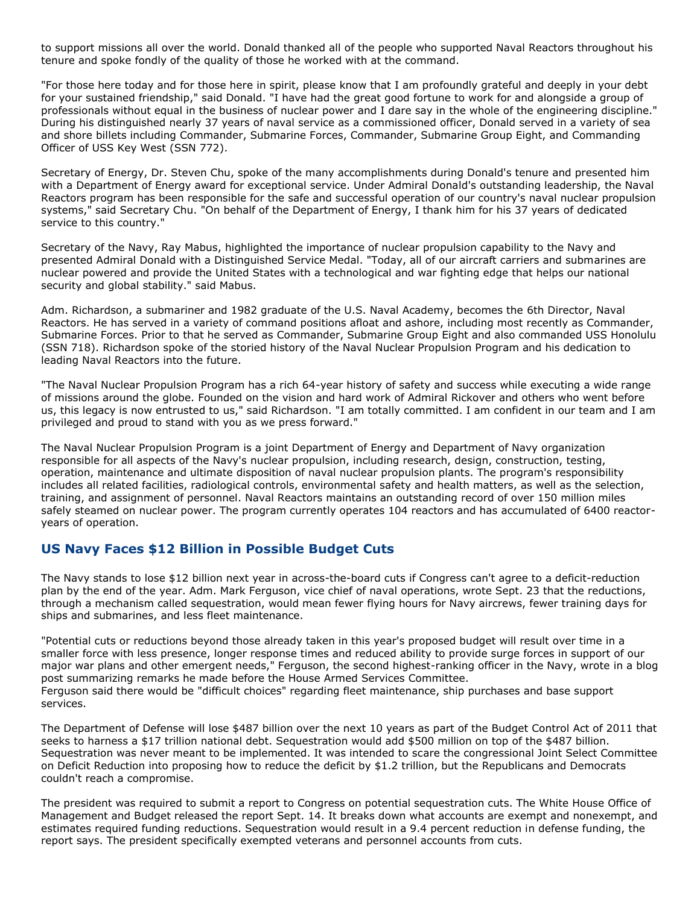to support missions all over the world. Donald thanked all of the people who supported Naval Reactors throughout his tenure and spoke fondly of the quality of those he worked with at the command.

"For those here today and for those here in spirit, please know that I am profoundly grateful and deeply in your debt for your sustained friendship," said Donald. "I have had the great good fortune to work for and alongside a group of professionals without equal in the business of nuclear power and I dare say in the whole of the engineering discipline." During his distinguished nearly 37 years of naval service as a commissioned officer, Donald served in a variety of sea and shore billets including Commander, Submarine Forces, Commander, Submarine Group Eight, and Commanding Officer of USS Key West (SSN 772).

Secretary of Energy, Dr. Steven Chu, spoke of the many accomplishments during Donald's tenure and presented him with a Department of Energy award for exceptional service. Under Admiral Donald's outstanding leadership, the Naval Reactors program has been responsible for the safe and successful operation of our country's naval nuclear propulsion systems," said Secretary Chu. "On behalf of the Department of Energy, I thank him for his 37 years of dedicated service to this country."

Secretary of the Navy, Ray Mabus, highlighted the importance of nuclear propulsion capability to the Navy and presented Admiral Donald with a Distinguished Service Medal. "Today, all of our aircraft carriers and submarines are nuclear powered and provide the United States with a technological and war fighting edge that helps our national security and global stability." said Mabus.

Adm. Richardson, a submariner and 1982 graduate of the U.S. Naval Academy, becomes the 6th Director, Naval Reactors. He has served in a variety of command positions afloat and ashore, including most recently as Commander, Submarine Forces. Prior to that he served as Commander, Submarine Group Eight and also commanded USS Honolulu (SSN 718). Richardson spoke of the storied history of the Naval Nuclear Propulsion Program and his dedication to leading Naval Reactors into the future.

"The Naval Nuclear Propulsion Program has a rich 64-year history of safety and success while executing a wide range of missions around the globe. Founded on the vision and hard work of Admiral Rickover and others who went before us, this legacy is now entrusted to us," said Richardson. "I am totally committed. I am confident in our team and I am privileged and proud to stand with you as we press forward."

The Naval Nuclear Propulsion Program is a joint Department of Energy and Department of Navy organization responsible for all aspects of the Navy's nuclear propulsion, including research, design, construction, testing, operation, maintenance and ultimate disposition of naval nuclear propulsion plants. The program's responsibility includes all related facilities, radiological controls, environmental safety and health matters, as well as the selection, training, and assignment of personnel. Naval Reactors maintains an outstanding record of over 150 million miles safely steamed on nuclear power. The program currently operates 104 reactors and has accumulated of 6400 reactoryears of operation.

# **US Navy Faces \$12 Billion in Possible Budget Cuts**

The Navy stands to lose \$12 billion next year in across-the-board cuts if Congress can't agree to a deficit-reduction plan by the end of the year. Adm. Mark Ferguson, vice chief of naval operations, wrote Sept. 23 that the reductions, through a mechanism called sequestration, would mean fewer flying hours for Navy aircrews, fewer training days for ships and submarines, and less fleet maintenance.

"Potential cuts or reductions beyond those already taken in this year's proposed budget will result over time in a smaller force with less presence, longer response times and reduced ability to provide surge forces in support of our major war plans and other emergent needs," Ferguson, the second highest-ranking officer in the Navy, wrote in a blog post summarizing remarks he made before the House Armed Services Committee. Ferguson said there would be "difficult choices" regarding fleet maintenance, ship purchases and base support services.

The Department of Defense will lose \$487 billion over the next 10 years as part of the Budget Control Act of 2011 that seeks to harness a \$17 trillion national debt. Sequestration would add \$500 million on top of the \$487 billion. Sequestration was never meant to be implemented. It was intended to scare the congressional Joint Select Committee on Deficit Reduction into proposing how to reduce the deficit by \$1.2 trillion, but the Republicans and Democrats couldn't reach a compromise.

The president was required to submit a report to Congress on potential sequestration cuts. The White House Office of Management and Budget released the report Sept. 14. It breaks down what accounts are exempt and nonexempt, and estimates required funding reductions. Sequestration would result in a 9.4 percent reduction in defense funding, the report says. The president specifically exempted veterans and personnel accounts from cuts.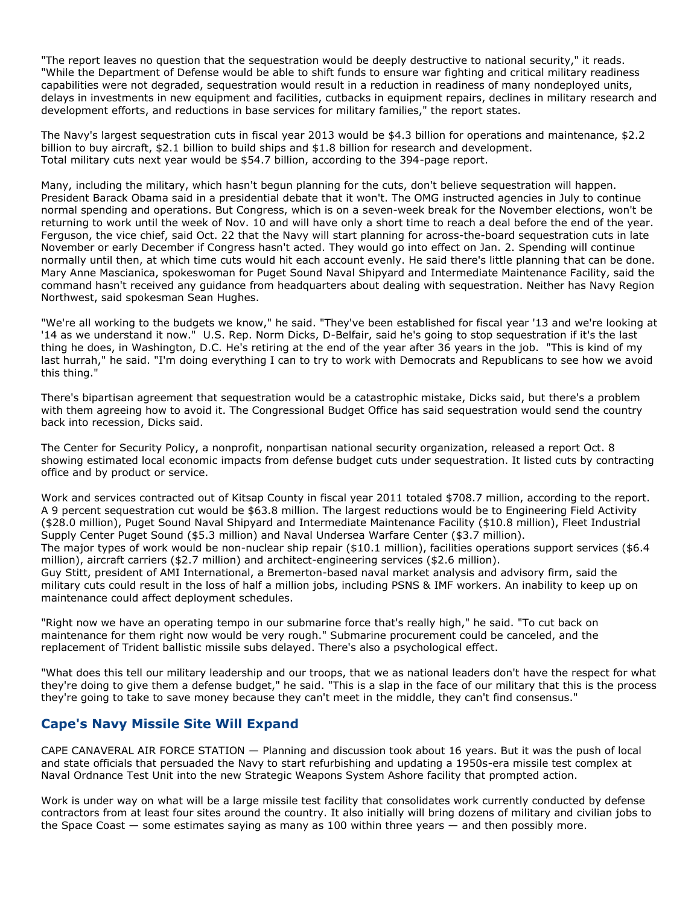"The report leaves no question that the sequestration would be deeply destructive to national security," it reads. "While the Department of Defense would be able to shift funds to ensure war fighting and critical military readiness capabilities were not degraded, sequestration would result in a reduction in readiness of many nondeployed units, delays in investments in new equipment and facilities, cutbacks in equipment repairs, declines in military research and development efforts, and reductions in base services for military families," the report states.

The Navy's largest sequestration cuts in fiscal year 2013 would be \$4.3 billion for operations and maintenance, \$2.2 billion to buy aircraft, \$2.1 billion to build ships and \$1.8 billion for research and development. Total military cuts next year would be \$54.7 billion, according to the 394-page report.

Many, including the military, which hasn't begun planning for the cuts, don't believe sequestration will happen. President Barack Obama said in a presidential debate that it won't. The OMG instructed agencies in July to continue normal spending and operations. But Congress, which is on a seven-week break for the November elections, won't be returning to work until the week of Nov. 10 and will have only a short time to reach a deal before the end of the year. Ferguson, the vice chief, said Oct. 22 that the Navy will start planning for across-the-board sequestration cuts in late November or early December if Congress hasn't acted. They would go into effect on Jan. 2. Spending will continue normally until then, at which time cuts would hit each account evenly. He said there's little planning that can be done. Mary Anne Mascianica, spokeswoman for Puget Sound Naval Shipyard and Intermediate Maintenance Facility, said the command hasn't received any guidance from headquarters about dealing with sequestration. Neither has Navy Region Northwest, said spokesman Sean Hughes.

"We're all working to the budgets we know," he said. "They've been established for fiscal year '13 and we're looking at '14 as we understand it now." U.S. Rep. Norm Dicks, D-Belfair, said he's going to stop sequestration if it's the last thing he does, in Washington, D.C. He's retiring at the end of the year after 36 years in the job. "This is kind of my last hurrah," he said. "I'm doing everything I can to try to work with Democrats and Republicans to see how we avoid this thing."

There's bipartisan agreement that sequestration would be a catastrophic mistake, Dicks said, but there's a problem with them agreeing how to avoid it. The Congressional Budget Office has said sequestration would send the country back into recession, Dicks said.

The Center for Security Policy, a nonprofit, nonpartisan national security organization, released a report Oct. 8 showing estimated local economic impacts from defense budget cuts under sequestration. It listed cuts by contracting office and by product or service.

Work and services contracted out of Kitsap County in fiscal year 2011 totaled \$708.7 million, according to the report. A 9 percent sequestration cut would be \$63.8 million. The largest reductions would be to Engineering Field Activity (\$28.0 million), Puget Sound Naval Shipyard and Intermediate Maintenance Facility (\$10.8 million), Fleet Industrial Supply Center Puget Sound (\$5.3 million) and Naval Undersea Warfare Center (\$3.7 million). The major types of work would be non-nuclear ship repair (\$10.1 million), facilities operations support services (\$6.4 million), aircraft carriers (\$2.7 million) and architect-engineering services (\$2.6 million). Guy Stitt, president of AMI International, a Bremerton-based naval market analysis and advisory firm, said the military cuts could result in the loss of half a million jobs, including PSNS & IMF workers. An inability to keep up on maintenance could affect deployment schedules.

"Right now we have an operating tempo in our submarine force that's really high," he said. "To cut back on maintenance for them right now would be very rough." Submarine procurement could be canceled, and the replacement of Trident ballistic missile subs delayed. There's also a psychological effect.

"What does this tell our military leadership and our troops, that we as national leaders don't have the respect for what they're doing to give them a defense budget," he said. "This is a slap in the face of our military that this is the process they're going to take to save money because they can't meet in the middle, they can't find consensus."

## **Cape's Navy Missile Site Will Expand**

CAPE CANAVERAL AIR FORCE STATION — Planning and discussion took about 16 years. But it was the push of local and state officials that persuaded the Navy to start refurbishing and updating a 1950s-era missile test complex at Naval Ordnance Test Unit into the new Strategic Weapons System Ashore facility that prompted action.

Work is under way on what will be a large missile test facility that consolidates work currently conducted by defense contractors from at least four sites around the country. It also initially will bring dozens of military and civilian jobs to the Space Coast — some estimates saying as many as 100 within three years — and then possibly more.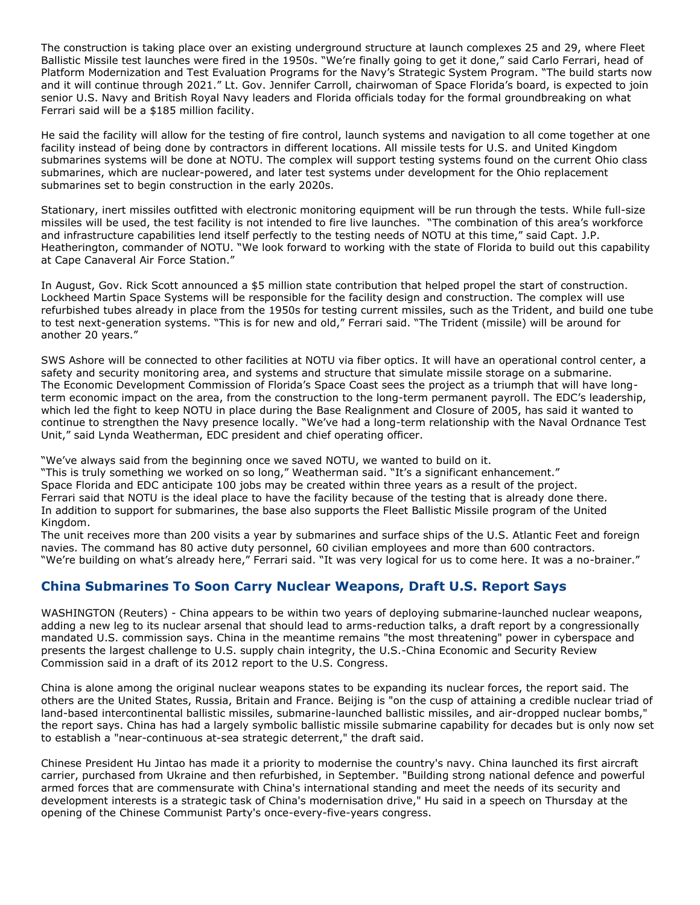The construction is taking place over an existing underground structure at launch complexes 25 and 29, where Fleet Ballistic Missile test launches were fired in the 1950s. "We're finally going to get it done," said Carlo Ferrari, head of Platform Modernization and Test Evaluation Programs for the Navy's Strategic System Program. "The build starts now and it will continue through 2021." Lt. Gov. Jennifer Carroll, chairwoman of Space Florida's board, is expected to join senior U.S. Navy and British Royal Navy leaders and Florida officials today for the formal groundbreaking on what Ferrari said will be a \$185 million facility.

He said the facility will allow for the testing of fire control, launch systems and navigation to all come together at one facility instead of being done by contractors in different locations. All missile tests for U.S. and United Kingdom submarines systems will be done at NOTU. The complex will support testing systems found on the current Ohio class submarines, which are nuclear-powered, and later test systems under development for the Ohio replacement submarines set to begin construction in the early 2020s.

Stationary, inert missiles outfitted with electronic monitoring equipment will be run through the tests. While full-size missiles will be used, the test facility is not intended to fire live launches. "The combination of this area's workforce and infrastructure capabilities lend itself perfectly to the testing needs of NOTU at this time," said Capt. J.P. Heatherington, commander of NOTU. "We look forward to working with the state of Florida to build out this capability at Cape Canaveral Air Force Station."

In August, Gov. Rick Scott announced a \$5 million state contribution that helped propel the start of construction. Lockheed Martin Space Systems will be responsible for the facility design and construction. The complex will use refurbished tubes already in place from the 1950s for testing current missiles, such as the Trident, and build one tube to test next-generation systems. "This is for new and old," Ferrari said. "The Trident (missile) will be around for another 20 years."

SWS Ashore will be connected to other facilities at NOTU via fiber optics. It will have an operational control center, a safety and security monitoring area, and systems and structure that simulate missile storage on a submarine. The Economic Development Commission of Florida's Space Coast sees the project as a triumph that will have longterm economic impact on the area, from the construction to the long-term permanent payroll. The EDC's leadership, which led the fight to keep NOTU in place during the Base Realignment and Closure of 2005, has said it wanted to continue to strengthen the Navy presence locally. "We've had a long-term relationship with the Naval Ordnance Test Unit," said Lynda Weatherman, EDC president and chief operating officer.

"We've always said from the beginning once we saved NOTU, we wanted to build on it.

"This is truly something we worked on so long," Weatherman said. "It's a significant enhancement." Space Florida and EDC anticipate 100 jobs may be created within three years as a result of the project. Ferrari said that NOTU is the ideal place to have the facility because of the testing that is already done there. In addition to support for submarines, the base also supports the Fleet Ballistic Missile program of the United Kingdom.

The unit receives more than 200 visits a year by submarines and surface ships of the U.S. Atlantic Feet and foreign navies. The command has 80 active duty personnel, 60 civilian employees and more than 600 contractors. "We're building on what's already here," Ferrari said. "It was very logical for us to come here. It was a no-brainer."

# **China Submarines To Soon Carry Nuclear Weapons, Draft U.S. Report Says**

WASHINGTON (Reuters) - China appears to be within two years of deploying submarine-launched nuclear weapons, adding a new leg to its nuclear arsenal that should lead to arms-reduction talks, a draft report by a congressionally mandated U.S. commission says. China in the meantime remains "the most threatening" power in cyberspace and presents the largest challenge to U.S. supply chain integrity, the U.S.-China Economic and Security Review Commission said in a draft of its 2012 report to the U.S. Congress.

China is alone among the original nuclear weapons states to be expanding its nuclear forces, the report said. The others are the United States, Russia, Britain and France. Beijing is "on the cusp of attaining a credible nuclear triad of land-based intercontinental ballistic missiles, submarine-launched ballistic missiles, and air-dropped nuclear bombs," the report says. China has had a largely symbolic ballistic missile submarine capability for decades but is only now set to establish a "near-continuous at-sea strategic deterrent," the draft said.

Chinese President Hu Jintao has made it a priority to modernise the country's navy. China launched its first aircraft carrier, purchased from Ukraine and then refurbished, in September. "Building strong national defence and powerful armed forces that are commensurate with China's international standing and meet the needs of its security and development interests is a strategic task of China's modernisation drive," Hu said in a speech on Thursday at the opening of the Chinese Communist Party's once-every-five-years congress.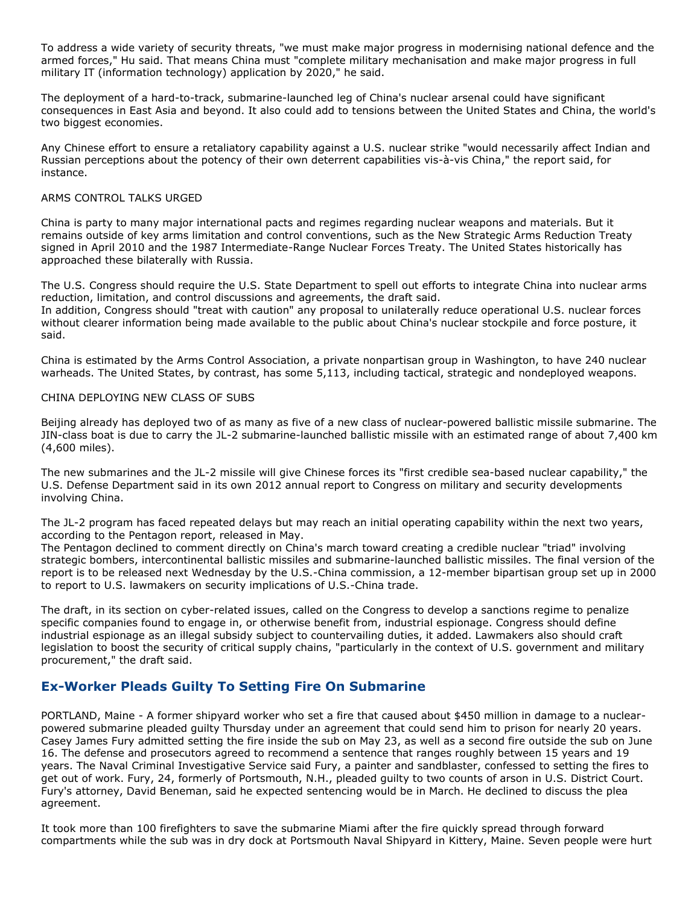To address a wide variety of security threats, "we must make major progress in modernising national defence and the armed forces," Hu said. That means China must "complete military mechanisation and make major progress in full military IT (information technology) application by 2020," he said.

The deployment of a hard-to-track, submarine-launched leg of China's nuclear arsenal could have significant consequences in East Asia and beyond. It also could add to tensions between the United States and China, the world's two biggest economies.

Any Chinese effort to ensure a retaliatory capability against a U.S. nuclear strike "would necessarily affect Indian and Russian perceptions about the potency of their own deterrent capabilities vis-à-vis China," the report said, for instance.

#### ARMS CONTROL TALKS URGED

China is party to many major international pacts and regimes regarding nuclear weapons and materials. But it remains outside of key arms limitation and control conventions, such as the New Strategic Arms Reduction Treaty signed in April 2010 and the 1987 Intermediate-Range Nuclear Forces Treaty. The United States historically has approached these bilaterally with Russia.

The U.S. Congress should require the U.S. State Department to spell out efforts to integrate China into nuclear arms reduction, limitation, and control discussions and agreements, the draft said. In addition, Congress should "treat with caution" any proposal to unilaterally reduce operational U.S. nuclear forces

without clearer information being made available to the public about China's nuclear stockpile and force posture, it said.

China is estimated by the Arms Control Association, a private nonpartisan group in Washington, to have 240 nuclear warheads. The United States, by contrast, has some 5,113, including tactical, strategic and nondeployed weapons.

#### CHINA DEPLOYING NEW CLASS OF SUBS

Beijing already has deployed two of as many as five of a new class of nuclear-powered ballistic missile submarine. The JIN-class boat is due to carry the JL-2 submarine-launched ballistic missile with an estimated range of about 7,400 km (4,600 miles).

The new submarines and the JL-2 missile will give Chinese forces its "first credible sea-based nuclear capability," the U.S. Defense Department said in its own 2012 annual report to Congress on military and security developments involving China.

The JL-2 program has faced repeated delays but may reach an initial operating capability within the next two years, according to the Pentagon report, released in May.

The Pentagon declined to comment directly on China's march toward creating a credible nuclear "triad" involving strategic bombers, intercontinental ballistic missiles and submarine-launched ballistic missiles. The final version of the report is to be released next Wednesday by the U.S.-China commission, a 12-member bipartisan group set up in 2000 to report to U.S. lawmakers on security implications of U.S.-China trade.

The draft, in its section on cyber-related issues, called on the Congress to develop a sanctions regime to penalize specific companies found to engage in, or otherwise benefit from, industrial espionage. Congress should define industrial espionage as an illegal subsidy subject to countervailing duties, it added. Lawmakers also should craft legislation to boost the security of critical supply chains, "particularly in the context of U.S. government and military procurement," the draft said.

## **Ex-Worker Pleads Guilty To Setting Fire On Submarine**

PORTLAND, Maine - A former shipyard worker who set a fire that caused about \$450 million in damage to a nuclearpowered submarine pleaded guilty Thursday under an agreement that could send him to prison for nearly 20 years. Casey James Fury admitted setting the fire inside the sub on May 23, as well as a second fire outside the sub on June 16. The defense and prosecutors agreed to recommend a sentence that ranges roughly between 15 years and 19 years. The Naval Criminal Investigative Service said Fury, a painter and sandblaster, confessed to setting the fires to get out of work. Fury, 24, formerly of Portsmouth, N.H., pleaded guilty to two counts of arson in U.S. District Court. Fury's attorney, David Beneman, said he expected sentencing would be in March. He declined to discuss the plea agreement.

It took more than 100 firefighters to save the submarine Miami after the fire quickly spread through forward compartments while the sub was in dry dock at Portsmouth Naval Shipyard in Kittery, Maine. Seven people were hurt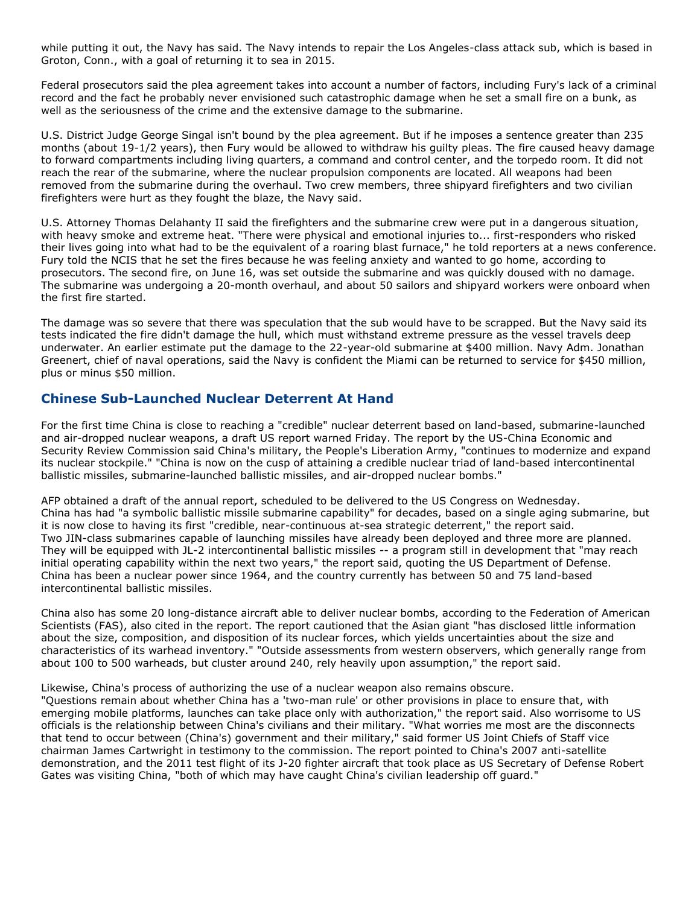while putting it out, the Navy has said. The Navy intends to repair the Los Angeles-class attack sub, which is based in Groton, Conn., with a goal of returning it to sea in 2015.

Federal prosecutors said the plea agreement takes into account a number of factors, including Fury's lack of a criminal record and the fact he probably never envisioned such catastrophic damage when he set a small fire on a bunk, as well as the seriousness of the crime and the extensive damage to the submarine.

U.S. District Judge George Singal isn't bound by the plea agreement. But if he imposes a sentence greater than 235 months (about 19-1/2 years), then Fury would be allowed to withdraw his guilty pleas. The fire caused heavy damage to forward compartments including living quarters, a command and control center, and the torpedo room. It did not reach the rear of the submarine, where the nuclear propulsion components are located. All weapons had been removed from the submarine during the overhaul. Two crew members, three shipyard firefighters and two civilian firefighters were hurt as they fought the blaze, the Navy said.

U.S. Attorney Thomas Delahanty II said the firefighters and the submarine crew were put in a dangerous situation, with heavy smoke and extreme heat. "There were physical and emotional injuries to... first-responders who risked their lives going into what had to be the equivalent of a roaring blast furnace," he told reporters at a news conference. Fury told the NCIS that he set the fires because he was feeling anxiety and wanted to go home, according to prosecutors. The second fire, on June 16, was set outside the submarine and was quickly doused with no damage. The submarine was undergoing a 20-month overhaul, and about 50 sailors and shipyard workers were onboard when the first fire started.

The damage was so severe that there was speculation that the sub would have to be scrapped. But the Navy said its tests indicated the fire didn't damage the hull, which must withstand extreme pressure as the vessel travels deep underwater. An earlier estimate put the damage to the 22-year-old submarine at \$400 million. Navy Adm. Jonathan Greenert, chief of naval operations, said the Navy is confident the Miami can be returned to service for \$450 million, plus or minus \$50 million.

# **Chinese Sub-Launched Nuclear Deterrent At Hand**

For the first time China is close to reaching a "credible" nuclear deterrent based on land-based, submarine-launched and air-dropped nuclear weapons, a draft US report warned Friday. The report by the US-China Economic and Security Review Commission said China's military, the People's Liberation Army, "continues to modernize and expand its nuclear stockpile." "China is now on the cusp of attaining a credible nuclear triad of land-based intercontinental ballistic missiles, submarine-launched ballistic missiles, and air-dropped nuclear bombs."

AFP obtained a draft of the annual report, scheduled to be delivered to the US Congress on Wednesday. China has had "a symbolic ballistic missile submarine capability" for decades, based on a single aging submarine, but it is now close to having its first "credible, near-continuous at-sea strategic deterrent," the report said. Two JIN-class submarines capable of launching missiles have already been deployed and three more are planned. They will be equipped with JL-2 intercontinental ballistic missiles -- a program still in development that "may reach initial operating capability within the next two years," the report said, quoting the US Department of Defense. China has been a nuclear power since 1964, and the country currently has between 50 and 75 land-based intercontinental ballistic missiles.

China also has some 20 long-distance aircraft able to deliver nuclear bombs, according to the Federation of American Scientists (FAS), also cited in the report. The report cautioned that the Asian giant "has disclosed little information about the size, composition, and disposition of its nuclear forces, which yields uncertainties about the size and characteristics of its warhead inventory." "Outside assessments from western observers, which generally range from about 100 to 500 warheads, but cluster around 240, rely heavily upon assumption," the report said.

#### Likewise, China's process of authorizing the use of a nuclear weapon also remains obscure.

"Questions remain about whether China has a 'two-man rule' or other provisions in place to ensure that, with emerging mobile platforms, launches can take place only with authorization," the report said. Also worrisome to US officials is the relationship between China's civilians and their military. "What worries me most are the disconnects that tend to occur between (China's) government and their military," said former US Joint Chiefs of Staff vice chairman James Cartwright in testimony to the commission. The report pointed to China's 2007 anti-satellite demonstration, and the 2011 test flight of its J-20 fighter aircraft that took place as US Secretary of Defense Robert Gates was visiting China, "both of which may have caught China's civilian leadership off guard."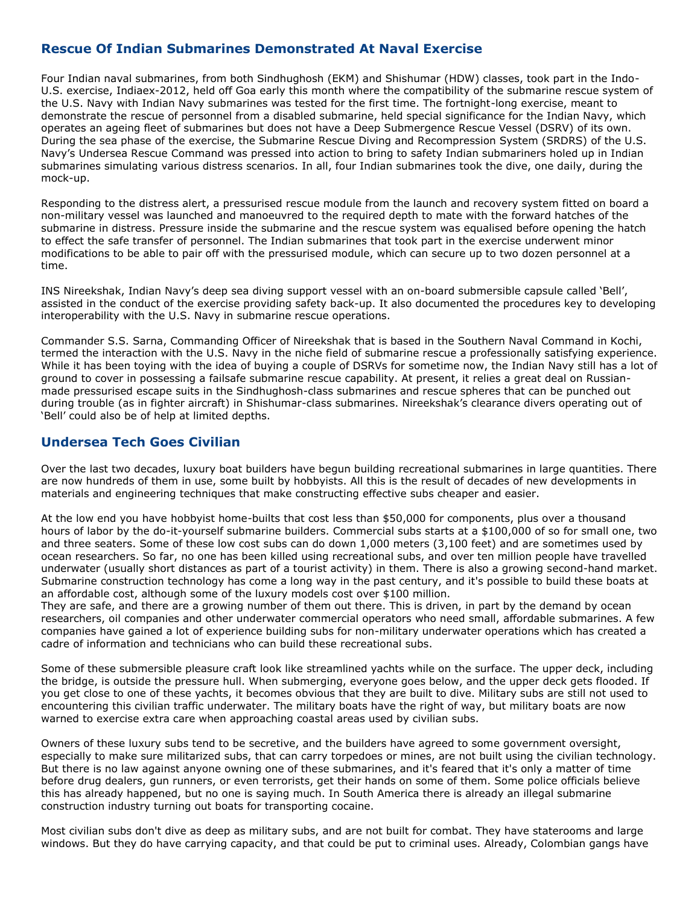# **Rescue Of Indian Submarines Demonstrated At Naval Exercise**

Four Indian naval submarines, from both Sindhughosh (EKM) and Shishumar (HDW) classes, took part in the Indo-U.S. exercise, Indiaex-2012, held off Goa early this month where the compatibility of the submarine rescue system of the U.S. Navy with Indian Navy submarines was tested for the first time. The fortnight-long exercise, meant to demonstrate the rescue of personnel from a disabled submarine, held special significance for the Indian Navy, which operates an ageing fleet of submarines but does not have a Deep Submergence Rescue Vessel (DSRV) of its own. During the sea phase of the exercise, the Submarine Rescue Diving and Recompression System (SRDRS) of the U.S. Navy's Undersea Rescue Command was pressed into action to bring to safety Indian submariners holed up in Indian submarines simulating various distress scenarios. In all, four Indian submarines took the dive, one daily, during the mock-up.

Responding to the distress alert, a pressurised rescue module from the launch and recovery system fitted on board a non-military vessel was launched and manoeuvred to the required depth to mate with the forward hatches of the submarine in distress. Pressure inside the submarine and the rescue system was equalised before opening the hatch to effect the safe transfer of personnel. The Indian submarines that took part in the exercise underwent minor modifications to be able to pair off with the pressurised module, which can secure up to two dozen personnel at a time.

INS Nireekshak, Indian Navy's deep sea diving support vessel with an on-board submersible capsule called 'Bell', assisted in the conduct of the exercise providing safety back-up. It also documented the procedures key to developing interoperability with the U.S. Navy in submarine rescue operations.

Commander S.S. Sarna, Commanding Officer of Nireekshak that is based in the Southern Naval Command in Kochi, termed the interaction with the U.S. Navy in the niche field of submarine rescue a professionally satisfying experience. While it has been toying with the idea of buying a couple of DSRVs for sometime now, the Indian Navy still has a lot of ground to cover in possessing a failsafe submarine rescue capability. At present, it relies a great deal on Russianmade pressurised escape suits in the Sindhughosh-class submarines and rescue spheres that can be punched out during trouble (as in fighter aircraft) in Shishumar-class submarines. Nireekshak's clearance divers operating out of 'Bell' could also be of help at limited depths.

## **Undersea Tech Goes Civilian**

Over the last two decades, luxury boat builders have begun building recreational submarines in large quantities. There are now hundreds of them in use, some built by hobbyists. All this is the result of decades of new developments in materials and engineering techniques that make constructing effective subs cheaper and easier.

At the low end you have hobbyist home-builts that cost less than \$50,000 for components, plus over a thousand hours of labor by the do-it-yourself submarine builders. Commercial subs starts at a \$100,000 of so for small one, two and three seaters. Some of these low cost subs can do down 1,000 meters (3,100 feet) and are sometimes used by ocean researchers. So far, no one has been killed using recreational subs, and over ten million people have travelled underwater (usually short distances as part of a tourist activity) in them. There is also a growing second-hand market. Submarine construction technology has come a long way in the past century, and it's possible to build these boats at an affordable cost, although some of the luxury models cost over \$100 million.

They are safe, and there are a growing number of them out there. This is driven, in part by the demand by ocean researchers, oil companies and other underwater commercial operators who need small, affordable submarines. A few companies have gained a lot of experience building subs for non-military underwater operations which has created a cadre of information and technicians who can build these recreational subs.

Some of these submersible pleasure craft look like streamlined yachts while on the surface. The upper deck, including the bridge, is outside the pressure hull. When submerging, everyone goes below, and the upper deck gets flooded. If you get close to one of these yachts, it becomes obvious that they are built to dive. Military subs are still not used to encountering this civilian traffic underwater. The military boats have the right of way, but military boats are now warned to exercise extra care when approaching coastal areas used by civilian subs.

Owners of these luxury subs tend to be secretive, and the builders have agreed to some government oversight, especially to make sure militarized subs, that can carry torpedoes or mines, are not built using the civilian technology. But there is no law against anyone owning one of these submarines, and it's feared that it's only a matter of time before drug dealers, gun runners, or even terrorists, get their hands on some of them. Some police officials believe this has already happened, but no one is saying much. In South America there is already an illegal submarine construction industry turning out boats for transporting cocaine.

Most civilian subs don't dive as deep as military subs, and are not built for combat. They have staterooms and large windows. But they do have carrying capacity, and that could be put to criminal uses. Already, Colombian gangs have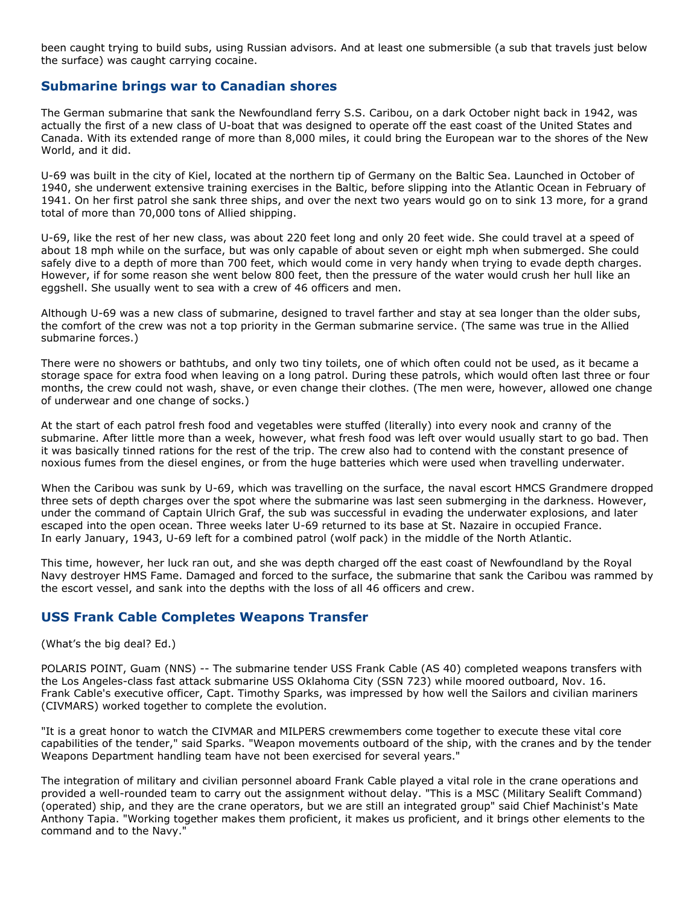been caught trying to build subs, using Russian advisors. And at least one submersible (a sub that travels just below the surface) was caught carrying cocaine.

## **Submarine brings war to Canadian shores**

The German submarine that sank the Newfoundland ferry S.S. Caribou, on a dark October night back in 1942, was actually the first of a new class of U-boat that was designed to operate off the east coast of the United States and Canada. With its extended range of more than 8,000 miles, it could bring the European war to the shores of the New World, and it did.

U-69 was built in the city of Kiel, located at the northern tip of Germany on the Baltic Sea. Launched in October of 1940, she underwent extensive training exercises in the Baltic, before slipping into the Atlantic Ocean in February of 1941. On her first patrol she sank three ships, and over the next two years would go on to sink 13 more, for a grand total of more than 70,000 tons of Allied shipping.

U-69, like the rest of her new class, was about 220 feet long and only 20 feet wide. She could travel at a speed of about 18 mph while on the surface, but was only capable of about seven or eight mph when submerged. She could safely dive to a depth of more than 700 feet, which would come in very handy when trying to evade depth charges. However, if for some reason she went below 800 feet, then the pressure of the water would crush her hull like an eggshell. She usually went to sea with a crew of 46 officers and men.

Although U-69 was a new class of submarine, designed to travel farther and stay at sea longer than the older subs, the comfort of the crew was not a top priority in the German submarine service. (The same was true in the Allied submarine forces.)

There were no showers or bathtubs, and only two tiny toilets, one of which often could not be used, as it became a storage space for extra food when leaving on a long patrol. During these patrols, which would often last three or four months, the crew could not wash, shave, or even change their clothes. (The men were, however, allowed one change of underwear and one change of socks.)

At the start of each patrol fresh food and vegetables were stuffed (literally) into every nook and cranny of the submarine. After little more than a week, however, what fresh food was left over would usually start to go bad. Then it was basically tinned rations for the rest of the trip. The crew also had to contend with the constant presence of noxious fumes from the diesel engines, or from the huge batteries which were used when travelling underwater.

When the Caribou was sunk by U-69, which was travelling on the surface, the naval escort HMCS Grandmere dropped three sets of depth charges over the spot where the submarine was last seen submerging in the darkness. However, under the command of Captain Ulrich Graf, the sub was successful in evading the underwater explosions, and later escaped into the open ocean. Three weeks later U-69 returned to its base at St. Nazaire in occupied France. In early January, 1943, U-69 left for a combined patrol (wolf pack) in the middle of the North Atlantic.

This time, however, her luck ran out, and she was depth charged off the east coast of Newfoundland by the Royal Navy destroyer HMS Fame. Damaged and forced to the surface, the submarine that sank the Caribou was rammed by the escort vessel, and sank into the depths with the loss of all 46 officers and crew.

## **USS Frank Cable Completes Weapons Transfer**

(What's the big deal? Ed.)

POLARIS POINT, Guam (NNS) -- The submarine tender USS Frank Cable (AS 40) completed weapons transfers with the Los Angeles-class fast attack submarine USS Oklahoma City (SSN 723) while moored outboard, Nov. 16. Frank Cable's executive officer, Capt. Timothy Sparks, was impressed by how well the Sailors and civilian mariners (CIVMARS) worked together to complete the evolution.

"It is a great honor to watch the CIVMAR and MILPERS crewmembers come together to execute these vital core capabilities of the tender," said Sparks. "Weapon movements outboard of the ship, with the cranes and by the tender Weapons Department handling team have not been exercised for several years."

The integration of military and civilian personnel aboard Frank Cable played a vital role in the crane operations and provided a well-rounded team to carry out the assignment without delay. "This is a MSC (Military Sealift Command) (operated) ship, and they are the crane operators, but we are still an integrated group" said Chief Machinist's Mate Anthony Tapia. "Working together makes them proficient, it makes us proficient, and it brings other elements to the command and to the Navy."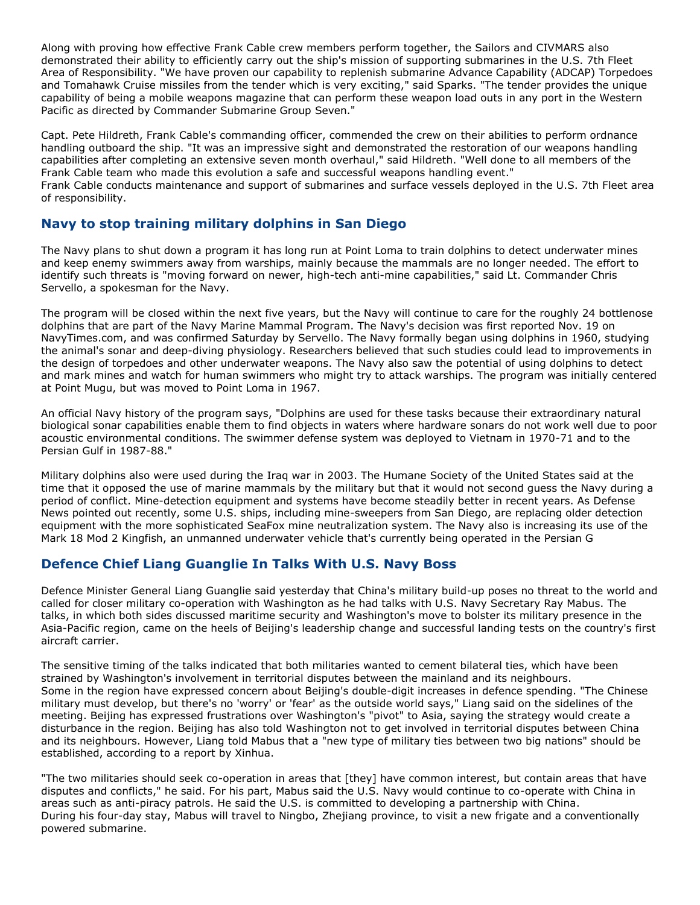Along with proving how effective Frank Cable crew members perform together, the Sailors and CIVMARS also demonstrated their ability to efficiently carry out the ship's mission of supporting submarines in the U.S. 7th Fleet Area of Responsibility. "We have proven our capability to replenish submarine Advance Capability (ADCAP) Torpedoes and Tomahawk Cruise missiles from the tender which is very exciting," said Sparks. "The tender provides the unique capability of being a mobile weapons magazine that can perform these weapon load outs in any port in the Western Pacific as directed by Commander Submarine Group Seven."

Capt. Pete Hildreth, Frank Cable's commanding officer, commended the crew on their abilities to perform ordnance handling outboard the ship. "It was an impressive sight and demonstrated the restoration of our weapons handling capabilities after completing an extensive seven month overhaul," said Hildreth. "Well done to all members of the Frank Cable team who made this evolution a safe and successful weapons handling event." Frank Cable conducts maintenance and support of submarines and surface vessels deployed in the U.S. 7th Fleet area of responsibility.

# **Navy to stop training military dolphins in San Diego**

The Navy plans to shut down a program it has long run at Point Loma to train dolphins to detect underwater mines and keep enemy swimmers away from warships, mainly because the mammals are no longer needed. The effort to identify such threats is "moving forward on newer, high-tech anti-mine capabilities," said Lt. Commander Chris Servello, a spokesman for the Navy.

The program will be closed within the next five years, but the Navy will continue to care for the roughly 24 bottlenose dolphins that are part of the Navy Marine Mammal Program. The Navy's decision was first reported Nov. 19 on NavyTimes.com, and was confirmed Saturday by Servello. The Navy formally began using dolphins in 1960, studying the animal's sonar and deep-diving physiology. Researchers believed that such studies could lead to improvements in the design of torpedoes and other underwater weapons. The Navy also saw the potential of using dolphins to detect and mark mines and watch for human swimmers who might try to attack warships. The program was initially centered at Point Mugu, but was moved to Point Loma in 1967.

An official Navy history of the program says, "Dolphins are used for these tasks because their extraordinary natural biological sonar capabilities enable them to find objects in waters where hardware sonars do not work well due to poor acoustic environmental conditions. The swimmer defense system was deployed to Vietnam in 1970-71 and to the Persian Gulf in 1987-88."

Military dolphins also were used during the Iraq war in 2003. The Humane Society of the United States said at the time that it opposed the use of marine mammals by the military but that it would not second guess the Navy during a period of conflict. Mine-detection equipment and systems have become steadily better in recent years. As Defense News pointed out recently, some U.S. ships, including mine-sweepers from San Diego, are replacing older detection equipment with the more sophisticated SeaFox mine neutralization system. The Navy also is increasing its use of the Mark 18 Mod 2 Kingfish, an unmanned underwater vehicle that's currently being operated in the Persian G

## **Defence Chief Liang Guanglie In Talks With U.S. Navy Boss**

Defence Minister General Liang Guanglie said yesterday that China's military build-up poses no threat to the world and called for closer military co-operation with Washington as he had talks with U.S. Navy Secretary Ray Mabus. The talks, in which both sides discussed maritime security and Washington's move to bolster its military presence in the Asia-Pacific region, came on the heels of Beijing's leadership change and successful landing tests on the country's first aircraft carrier.

The sensitive timing of the talks indicated that both militaries wanted to cement bilateral ties, which have been strained by Washington's involvement in territorial disputes between the mainland and its neighbours. Some in the region have expressed concern about Beijing's double-digit increases in defence spending. "The Chinese military must develop, but there's no 'worry' or 'fear' as the outside world says," Liang said on the sidelines of the meeting. Beijing has expressed frustrations over Washington's "pivot" to Asia, saying the strategy would create a disturbance in the region. Beijing has also told Washington not to get involved in territorial disputes between China and its neighbours. However, Liang told Mabus that a "new type of military ties between two big nations" should be established, according to a report by Xinhua.

"The two militaries should seek co-operation in areas that [they] have common interest, but contain areas that have disputes and conflicts," he said. For his part, Mabus said the U.S. Navy would continue to co-operate with China in areas such as anti-piracy patrols. He said the U.S. is committed to developing a partnership with China. During his four-day stay, Mabus will travel to Ningbo, Zhejiang province, to visit a new frigate and a conventionally powered submarine.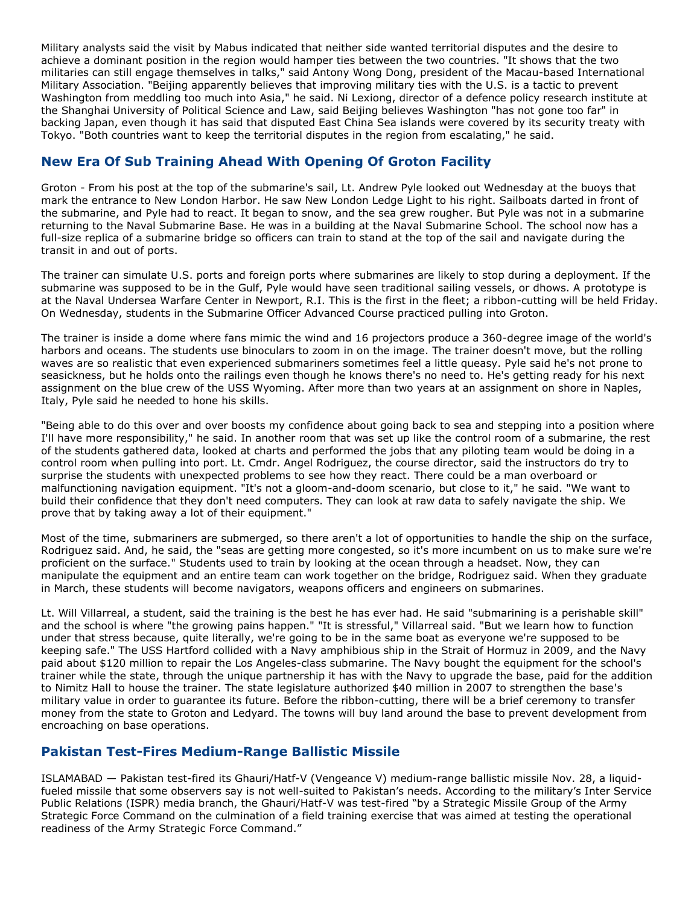Military analysts said the visit by Mabus indicated that neither side wanted territorial disputes and the desire to achieve a dominant position in the region would hamper ties between the two countries. "It shows that the two militaries can still engage themselves in talks," said Antony Wong Dong, president of the Macau-based International Military Association. "Beijing apparently believes that improving military ties with the U.S. is a tactic to prevent Washington from meddling too much into Asia," he said. Ni Lexiong, director of a defence policy research institute at the Shanghai University of Political Science and Law, said Beijing believes Washington "has not gone too far" in backing Japan, even though it has said that disputed East China Sea islands were covered by its security treaty with Tokyo. "Both countries want to keep the territorial disputes in the region from escalating," he said.

# **New Era Of Sub Training Ahead With Opening Of Groton Facility**

Groton - From his post at the top of the submarine's sail, Lt. Andrew Pyle looked out Wednesday at the buoys that mark the entrance to New London Harbor. He saw New London Ledge Light to his right. Sailboats darted in front of the submarine, and Pyle had to react. It began to snow, and the sea grew rougher. But Pyle was not in a submarine returning to the Naval Submarine Base. He was in a building at the Naval Submarine School. The school now has a full-size replica of a submarine bridge so officers can train to stand at the top of the sail and navigate during the transit in and out of ports.

The trainer can simulate U.S. ports and foreign ports where submarines are likely to stop during a deployment. If the submarine was supposed to be in the Gulf, Pyle would have seen traditional sailing vessels, or dhows. A prototype is at the Naval Undersea Warfare Center in Newport, R.I. This is the first in the fleet; a ribbon-cutting will be held Friday. On Wednesday, students in the Submarine Officer Advanced Course practiced pulling into Groton.

The trainer is inside a dome where fans mimic the wind and 16 projectors produce a 360-degree image of the world's harbors and oceans. The students use binoculars to zoom in on the image. The trainer doesn't move, but the rolling waves are so realistic that even experienced submariners sometimes feel a little queasy. Pyle said he's not prone to seasickness, but he holds onto the railings even though he knows there's no need to. He's getting ready for his next assignment on the blue crew of the USS Wyoming. After more than two years at an assignment on shore in Naples, Italy, Pyle said he needed to hone his skills.

"Being able to do this over and over boosts my confidence about going back to sea and stepping into a position where I'll have more responsibility," he said. In another room that was set up like the control room of a submarine, the rest of the students gathered data, looked at charts and performed the jobs that any piloting team would be doing in a control room when pulling into port. Lt. Cmdr. Angel Rodriguez, the course director, said the instructors do try to surprise the students with unexpected problems to see how they react. There could be a man overboard or malfunctioning navigation equipment. "It's not a gloom-and-doom scenario, but close to it," he said. "We want to build their confidence that they don't need computers. They can look at raw data to safely navigate the ship. We prove that by taking away a lot of their equipment."

Most of the time, submariners are submerged, so there aren't a lot of opportunities to handle the ship on the surface, Rodriguez said. And, he said, the "seas are getting more congested, so it's more incumbent on us to make sure we're proficient on the surface." Students used to train by looking at the ocean through a headset. Now, they can manipulate the equipment and an entire team can work together on the bridge, Rodriguez said. When they graduate in March, these students will become navigators, weapons officers and engineers on submarines.

Lt. Will Villarreal, a student, said the training is the best he has ever had. He said "submarining is a perishable skill" and the school is where "the growing pains happen." "It is stressful," Villarreal said. "But we learn how to function under that stress because, quite literally, we're going to be in the same boat as everyone we're supposed to be keeping safe." The USS Hartford collided with a Navy amphibious ship in the Strait of Hormuz in 2009, and the Navy paid about \$120 million to repair the Los Angeles-class submarine. The Navy bought the equipment for the school's trainer while the state, through the unique partnership it has with the Navy to upgrade the base, paid for the addition to Nimitz Hall to house the trainer. The state legislature authorized \$40 million in 2007 to strengthen the base's military value in order to guarantee its future. Before the ribbon-cutting, there will be a brief ceremony to transfer money from the state to Groton and Ledyard. The towns will buy land around the base to prevent development from encroaching on base operations.

## **Pakistan Test-Fires Medium-Range Ballistic Missile**

ISLAMABAD — Pakistan test-fired its Ghauri/Hatf-V (Vengeance V) medium-range ballistic missile Nov. 28, a liquidfueled missile that some observers say is not well-suited to Pakistan's needs. According to the military's Inter Service Public Relations (ISPR) media branch, the Ghauri/Hatf-V was test-fired "by a Strategic Missile Group of the Army Strategic Force Command on the culmination of a field training exercise that was aimed at testing the operational readiness of the Army Strategic Force Command."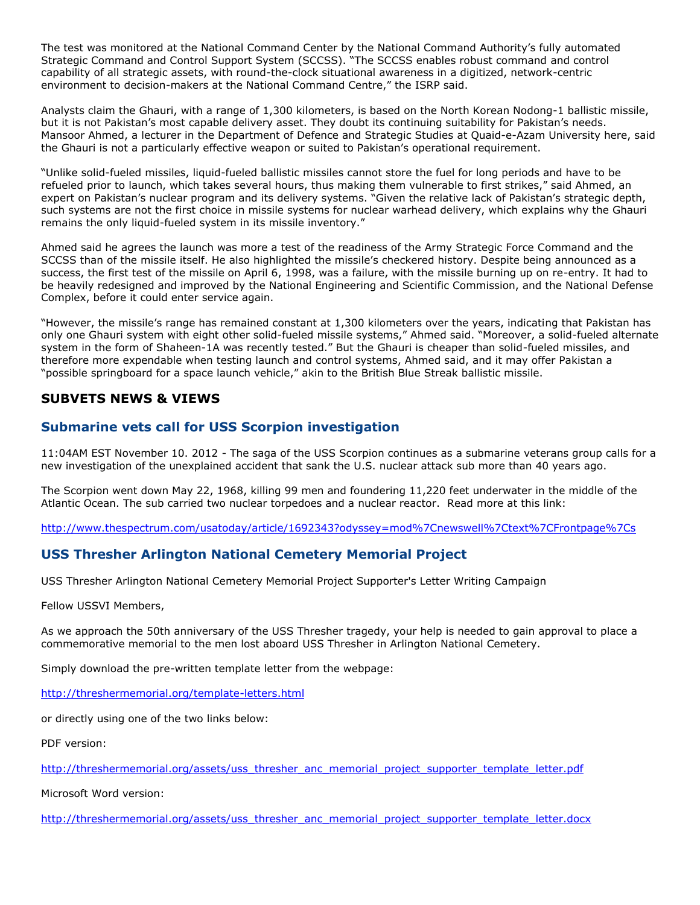The test was monitored at the National Command Center by the National Command Authority's fully automated Strategic Command and Control Support System (SCCSS). "The SCCSS enables robust command and control capability of all strategic assets, with round-the-clock situational awareness in a digitized, network-centric environment to decision-makers at the National Command Centre," the ISRP said.

Analysts claim the Ghauri, with a range of 1,300 kilometers, is based on the North Korean Nodong-1 ballistic missile, but it is not Pakistan's most capable delivery asset. They doubt its continuing suitability for Pakistan's needs. Mansoor Ahmed, a lecturer in the Department of Defence and Strategic Studies at Quaid-e-Azam University here, said the Ghauri is not a particularly effective weapon or suited to Pakistan's operational requirement.

"Unlike solid-fueled missiles, liquid-fueled ballistic missiles cannot store the fuel for long periods and have to be refueled prior to launch, which takes several hours, thus making them vulnerable to first strikes," said Ahmed, an expert on Pakistan's nuclear program and its delivery systems. "Given the relative lack of Pakistan's strategic depth, such systems are not the first choice in missile systems for nuclear warhead delivery, which explains why the Ghauri remains the only liquid-fueled system in its missile inventory."

Ahmed said he agrees the launch was more a test of the readiness of the Army Strategic Force Command and the SCCSS than of the missile itself. He also highlighted the missile's checkered history. Despite being announced as a success, the first test of the missile on April 6, 1998, was a failure, with the missile burning up on re-entry. It had to be heavily redesigned and improved by the National Engineering and Scientific Commission, and the National Defense Complex, before it could enter service again.

"However, the missile's range has remained constant at 1,300 kilometers over the years, indicating that Pakistan has only one Ghauri system with eight other solid-fueled missile systems," Ahmed said. "Moreover, a solid-fueled alternate system in the form of Shaheen-1A was recently tested." But the Ghauri is cheaper than solid-fueled missiles, and therefore more expendable when testing launch and control systems, Ahmed said, and it may offer Pakistan a "possible springboard for a space launch vehicle," akin to the British Blue Streak ballistic missile.

# **SUBVETS NEWS & VIEWS**

# **Submarine vets call for USS Scorpion investigation**

11:04AM EST November 10. 2012 - The saga of the USS Scorpion continues as a submarine veterans group calls for a new investigation of the unexplained accident that sank the U.S. nuclear attack sub more than 40 years ago.

The Scorpion went down May 22, 1968, killing 99 men and foundering 11,220 feet underwater in the middle of the Atlantic Ocean. The sub carried two nuclear torpedoes and a nuclear reactor. Read more at this link:

<http://www.thespectrum.com/usatoday/article/1692343?odyssey=mod%7Cnewswell%7Ctext%7CFrontpage%7Cs>

# **USS Thresher Arlington National Cemetery Memorial Project**

USS Thresher Arlington National Cemetery Memorial Project Supporter's Letter Writing Campaign

Fellow USSVI Members,

As we approach the 50th anniversary of the USS Thresher tragedy, your help is needed to gain approval to place a commemorative memorial to the men lost aboard USS Thresher in Arlington National Cemetery.

Simply download the pre-written template letter from the webpage:

<http://threshermemorial.org/template-letters.html>

or directly using one of the two links below:

PDF version:

[http://threshermemorial.org/assets/uss\\_thresher\\_anc\\_memorial\\_project\\_supporter\\_template\\_letter.pdf](http://threshermemorial.org/assets/uss_thresher_anc_memorial_project_supporter_template_letter.pdf)

Microsoft Word version:

[http://threshermemorial.org/assets/uss\\_thresher\\_anc\\_memorial\\_project\\_supporter\\_template\\_letter.docx](http://threshermemorial.org/assets/uss_thresher_anc_memorial_project_supporter_template_letter.docx)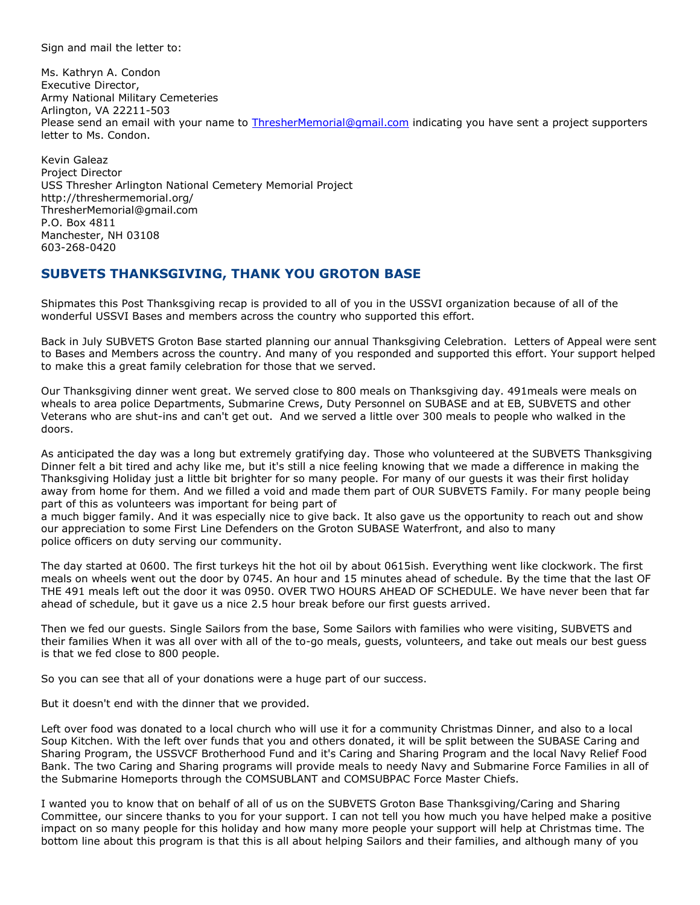Sign and mail the letter to:

Ms. Kathryn A. Condon Executive Director, Army National Military Cemeteries Arlington, VA 22211-503 Please send an email with your name to [ThresherMemorial@gmail.com](mailto:ThresherMemorial@gmail.com) indicating you have sent a project supporters letter to Ms. Condon.

Kevin Galeaz Project Director USS Thresher Arlington National Cemetery Memorial Project http://threshermemorial.org/ ThresherMemorial@gmail.com P.O. Box 4811 Manchester, NH 03108 603-268-0420

## **SUBVETS THANKSGIVING, THANK YOU GROTON BASE**

Shipmates this Post Thanksgiving recap is provided to all of you in the USSVI organization because of all of the wonderful USSVI Bases and members across the country who supported this effort.

Back in July SUBVETS Groton Base started planning our annual Thanksgiving Celebration. Letters of Appeal were sent to Bases and Members across the country. And many of you responded and supported this effort. Your support helped to make this a great family celebration for those that we served.

Our Thanksgiving dinner went great. We served close to 800 meals on Thanksgiving day. 491meals were meals on wheals to area police Departments, Submarine Crews, Duty Personnel on SUBASE and at EB, SUBVETS and other Veterans who are shut-ins and can't get out. And we served a little over 300 meals to people who walked in the doors.

As anticipated the day was a long but extremely gratifying day. Those who volunteered at the SUBVETS Thanksgiving Dinner felt a bit tired and achy like me, but it's still a nice feeling knowing that we made a difference in making the Thanksgiving Holiday just a little bit brighter for so many people. For many of our guests it was their first holiday away from home for them. And we filled a void and made them part of OUR SUBVETS Family. For many people being part of this as volunteers was important for being part of

a much bigger family. And it was especially nice to give back. It also gave us the opportunity to reach out and show our appreciation to some First Line Defenders on the Groton SUBASE Waterfront, and also to many police officers on duty serving our community.

The day started at 0600. The first turkeys hit the hot oil by about 0615ish. Everything went like clockwork. The first meals on wheels went out the door by 0745. An hour and 15 minutes ahead of schedule. By the time that the last OF THE 491 meals left out the door it was 0950. OVER TWO HOURS AHEAD OF SCHEDULE. We have never been that far ahead of schedule, but it gave us a nice 2.5 hour break before our first guests arrived.

Then we fed our guests. Single Sailors from the base, Some Sailors with families who were visiting, SUBVETS and their families When it was all over with all of the to-go meals, guests, volunteers, and take out meals our best guess is that we fed close to 800 people.

So you can see that all of your donations were a huge part of our success.

But it doesn't end with the dinner that we provided.

Left over food was donated to a local church who will use it for a community Christmas Dinner, and also to a local Soup Kitchen. With the left over funds that you and others donated, it will be split between the SUBASE Caring and Sharing Program, the USSVCF Brotherhood Fund and it's Caring and Sharing Program and the local Navy Relief Food Bank. The two Caring and Sharing programs will provide meals to needy Navy and Submarine Force Families in all of the Submarine Homeports through the COMSUBLANT and COMSUBPAC Force Master Chiefs.

I wanted you to know that on behalf of all of us on the SUBVETS Groton Base Thanksgiving/Caring and Sharing Committee, our sincere thanks to you for your support. I can not tell you how much you have helped make a positive impact on so many people for this holiday and how many more people your support will help at Christmas time. The bottom line about this program is that this is all about helping Sailors and their families, and although many of you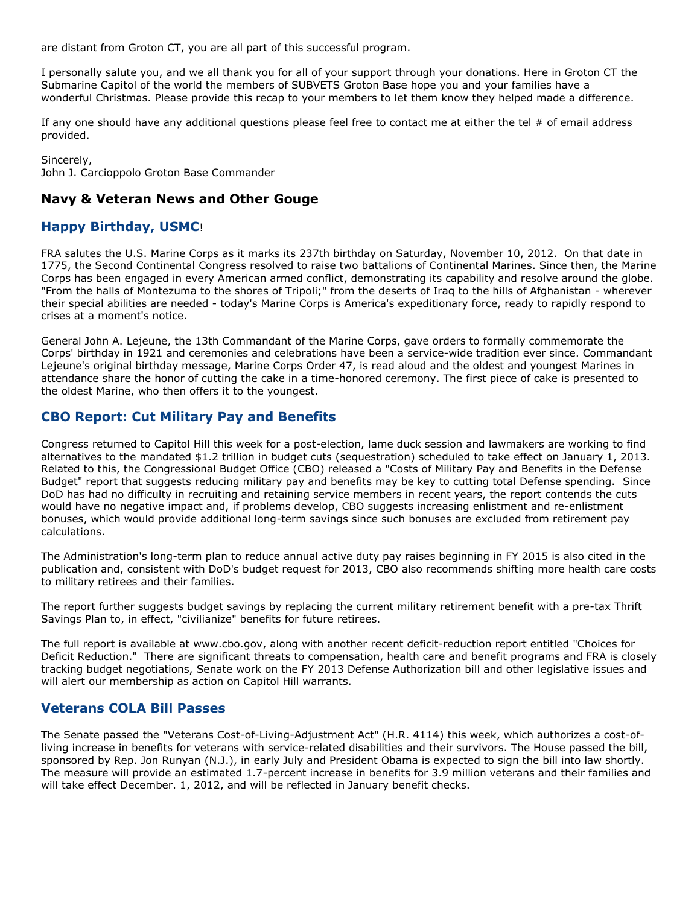are distant from Groton CT, you are all part of this successful program.

I personally salute you, and we all thank you for all of your support through your donations. Here in Groton CT the Submarine Capitol of the world the members of SUBVETS Groton Base hope you and your families have a wonderful Christmas. Please provide this recap to your members to let them know they helped made a difference.

If any one should have any additional questions please feel free to contact me at either the tel  $#$  of email address provided.

Sincerely, John J. Carcioppolo Groton Base Commander

#### **Navy & Veteran News and Other Gouge**

## **Happy Birthday, USMC**!

FRA salutes the U.S. Marine Corps as it marks its 237th birthday on Saturday, November 10, 2012. On that date in 1775, the Second Continental Congress resolved to raise two battalions of Continental Marines. Since then, the Marine Corps has been engaged in every American armed conflict, demonstrating its capability and resolve around the globe. "From the halls of Montezuma to the shores of Tripoli;" from the deserts of Iraq to the hills of Afghanistan - wherever their special abilities are needed - today's Marine Corps is America's expeditionary force, ready to rapidly respond to crises at a moment's notice.

General John A. Lejeune, the 13th Commandant of the Marine Corps, gave orders to formally commemorate the Corps' birthday in 1921 and ceremonies and celebrations have been a service-wide tradition ever since. Commandant Lejeune's original birthday message, Marine Corps Order 47, is read aloud and the oldest and youngest Marines in attendance share the honor of cutting the cake in a time-honored ceremony. The first piece of cake is presented to the oldest Marine, who then offers it to the youngest.

## **CBO Report: Cut Military Pay and Benefits**

Congress returned to Capitol Hill this week for a post-election, lame duck session and lawmakers are working to find alternatives to the mandated \$1.2 trillion in budget cuts (sequestration) scheduled to take effect on January 1, 2013. Related to this, the Congressional Budget Office (CBO) released a "Costs of Military Pay and Benefits in the Defense Budget" report that suggests reducing military pay and benefits may be key to cutting total Defense spending. Since DoD has had no difficulty in recruiting and retaining service members in recent years, the report contends the cuts would have no negative impact and, if problems develop, CBO suggests increasing enlistment and re-enlistment bonuses, which would provide additional long-term savings since such bonuses are excluded from retirement pay calculations.

The Administration's long-term plan to reduce annual active duty pay raises beginning in FY 2015 is also cited in the publication and, consistent with DoD's budget request for 2013, CBO also recommends shifting more health care costs to military retirees and their families.

The report further suggests budget savings by replacing the current military retirement benefit with a pre-tax Thrift Savings Plan to, in effect, "civilianize" benefits for future retirees.

The full report is available at [www.cbo.gov,](http://www.cbo.gov/) along with another recent deficit-reduction report entitled "Choices for Deficit Reduction." There are significant threats to compensation, health care and benefit programs and FRA is closely tracking budget negotiations, Senate work on the FY 2013 Defense Authorization bill and other legislative issues and will alert our membership as action on Capitol Hill warrants.

#### **Veterans COLA Bill Passes**

The Senate passed the "Veterans Cost-of-Living-Adjustment Act" (H.R. 4114) this week, which authorizes a cost-ofliving increase in benefits for veterans with service-related disabilities and their survivors. The House passed the bill, sponsored by Rep. Jon Runyan (N.J.), in early July and President Obama is expected to sign the bill into law shortly. The measure will provide an estimated 1.7-percent increase in benefits for 3.9 million veterans and their families and will take effect December. 1, 2012, and will be reflected in January benefit checks.